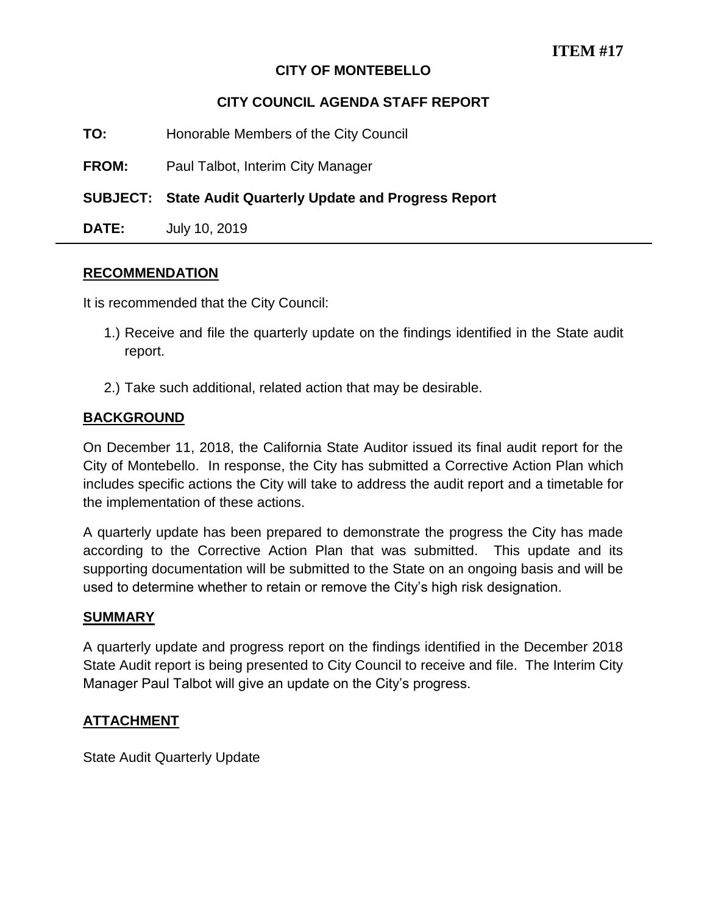# **CITY OF MONTEBELLO**

# **CITY COUNCIL AGENDA STAFF REPORT**

**TO:** Honorable Members of the City Council

**FROM:** Paul Talbot, Interim City Manager

**SUBJECT: State Audit Quarterly Update and Progress Report** 

**DATE:** July 10, 2019

#### **RECOMMENDATION**

It is recommended that the City Council:

- 1.) Receive and file the quarterly update on the findings identified in the State audit report.
- 2.) Take such additional, related action that may be desirable.

## **BACKGROUND**

On December 11, 2018, the California State Auditor issued its final audit report for the City of Montebello. In response, the City has submitted a Corrective Action Plan which includes specific actions the City will take to address the audit report and a timetable for the implementation of these actions.

A quarterly update has been prepared to demonstrate the progress the City has made according to the Corrective Action Plan that was submitted. This update and its supporting documentation will be submitted to the State on an ongoing basis and will be used to determine whether to retain or remove the City's high risk designation.

#### **SUMMARY**

A quarterly update and progress report on the findings identified in the December 2018 State Audit report is being presented to City Council to receive and file. The Interim City Manager Paul Talbot will give an update on the City's progress.

## **ATTACHMENT**

State Audit Quarterly Update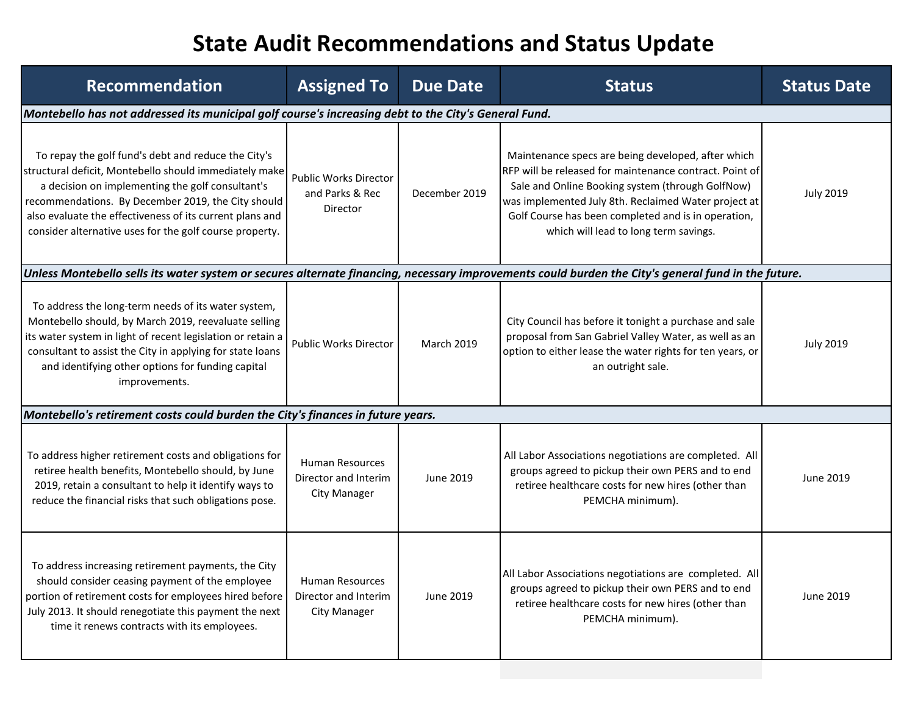# **State Audit Recommendations and Status Update**

| <b>Recommendation</b>                                                                                                                                                                                                                                                                                                                          | <b>Assigned To</b>                                                    | <b>Due Date</b>   | <b>Status</b>                                                                                                                                                                                                                                                                                                             | <b>Status Date</b> |
|------------------------------------------------------------------------------------------------------------------------------------------------------------------------------------------------------------------------------------------------------------------------------------------------------------------------------------------------|-----------------------------------------------------------------------|-------------------|---------------------------------------------------------------------------------------------------------------------------------------------------------------------------------------------------------------------------------------------------------------------------------------------------------------------------|--------------------|
| Montebello has not addressed its municipal golf course's increasing debt to the City's General Fund.                                                                                                                                                                                                                                           |                                                                       |                   |                                                                                                                                                                                                                                                                                                                           |                    |
| To repay the golf fund's debt and reduce the City's<br>structural deficit, Montebello should immediately make<br>a decision on implementing the golf consultant's<br>recommendations. By December 2019, the City should<br>also evaluate the effectiveness of its current plans and<br>consider alternative uses for the golf course property. | Public Works Director<br>and Parks & Rec<br>Director                  | December 2019     | Maintenance specs are being developed, after which<br>RFP will be released for maintenance contract. Point of<br>Sale and Online Booking system (through GolfNow)<br>was implemented July 8th. Reclaimed Water project at<br>Golf Course has been completed and is in operation,<br>which will lead to long term savings. | <b>July 2019</b>   |
| Unless Montebello sells its water system or secures alternate financing, necessary improvements could burden the City's general fund in the future.                                                                                                                                                                                            |                                                                       |                   |                                                                                                                                                                                                                                                                                                                           |                    |
| To address the long-term needs of its water system,<br>Montebello should, by March 2019, reevaluate selling<br>its water system in light of recent legislation or retain a<br>consultant to assist the City in applying for state loans<br>and identifying other options for funding capital<br>improvements.                                  | <b>Public Works Director</b>                                          | <b>March 2019</b> | City Council has before it tonight a purchase and sale<br>proposal from San Gabriel Valley Water, as well as an<br>option to either lease the water rights for ten years, or<br>an outright sale.                                                                                                                         | <b>July 2019</b>   |
| Montebello's retirement costs could burden the City's finances in future years.                                                                                                                                                                                                                                                                |                                                                       |                   |                                                                                                                                                                                                                                                                                                                           |                    |
| To address higher retirement costs and obligations for<br>retiree health benefits, Montebello should, by June<br>2019, retain a consultant to help it identify ways to<br>reduce the financial risks that such obligations pose.                                                                                                               | <b>Human Resources</b><br>Director and Interim<br><b>City Manager</b> | <b>June 2019</b>  | All Labor Associations negotiations are completed. All<br>groups agreed to pickup their own PERS and to end<br>retiree healthcare costs for new hires (other than<br>PEMCHA minimum).                                                                                                                                     | June 2019          |
| To address increasing retirement payments, the City<br>should consider ceasing payment of the employee<br>portion of retirement costs for employees hired before<br>July 2013. It should renegotiate this payment the next<br>time it renews contracts with its employees.                                                                     | <b>Human Resources</b><br>Director and Interim<br><b>City Manager</b> | June 2019         | All Labor Associations negotiations are completed. All<br>groups agreed to pickup their own PERS and to end<br>retiree healthcare costs for new hires (other than<br>PEMCHA minimum).                                                                                                                                     | <b>June 2019</b>   |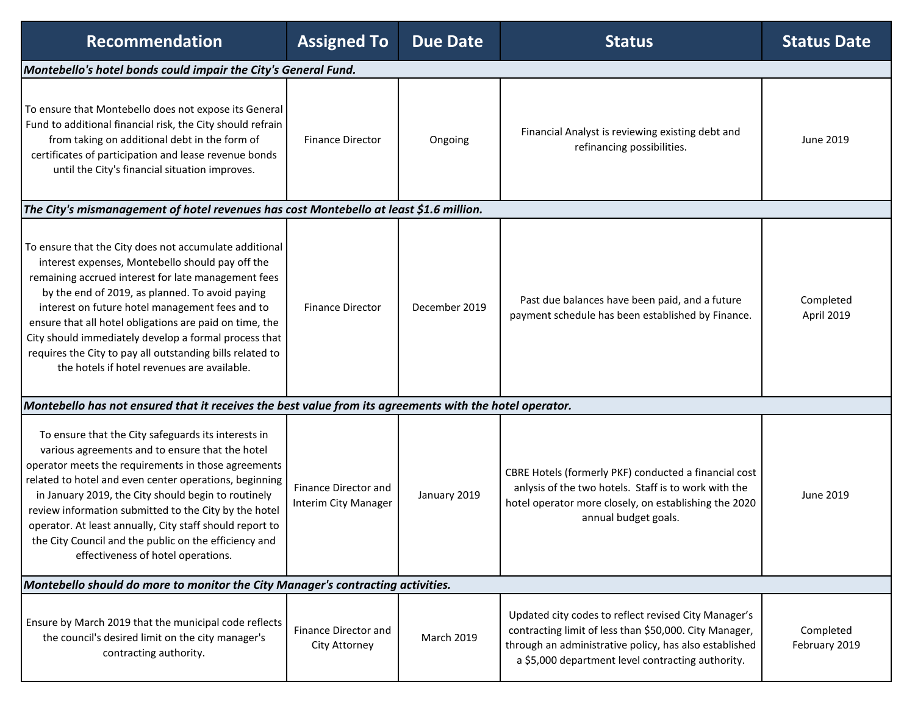| <b>Recommendation</b>                                                                                                                                                                                                                                                                                                                                                                                                                                                                                   | <b>Assigned To</b>                           | <b>Due Date</b>   | <b>Status</b>                                                                                                                                                                                                                 | <b>Status Date</b>         |
|---------------------------------------------------------------------------------------------------------------------------------------------------------------------------------------------------------------------------------------------------------------------------------------------------------------------------------------------------------------------------------------------------------------------------------------------------------------------------------------------------------|----------------------------------------------|-------------------|-------------------------------------------------------------------------------------------------------------------------------------------------------------------------------------------------------------------------------|----------------------------|
| Montebello's hotel bonds could impair the City's General Fund.                                                                                                                                                                                                                                                                                                                                                                                                                                          |                                              |                   |                                                                                                                                                                                                                               |                            |
| To ensure that Montebello does not expose its General<br>Fund to additional financial risk, the City should refrain<br>from taking on additional debt in the form of<br>certificates of participation and lease revenue bonds<br>until the City's financial situation improves.                                                                                                                                                                                                                         | <b>Finance Director</b>                      | Ongoing           | Financial Analyst is reviewing existing debt and<br>refinancing possibilities.                                                                                                                                                | June 2019                  |
| The City's mismanagement of hotel revenues has cost Montebello at least \$1.6 million.                                                                                                                                                                                                                                                                                                                                                                                                                  |                                              |                   |                                                                                                                                                                                                                               |                            |
| To ensure that the City does not accumulate additional<br>interest expenses, Montebello should pay off the<br>remaining accrued interest for late management fees<br>by the end of 2019, as planned. To avoid paying<br>interest on future hotel management fees and to<br>ensure that all hotel obligations are paid on time, the<br>City should immediately develop a formal process that<br>requires the City to pay all outstanding bills related to<br>the hotels if hotel revenues are available. | <b>Finance Director</b>                      | December 2019     | Past due balances have been paid, and a future<br>payment schedule has been established by Finance.                                                                                                                           | Completed<br>April 2019    |
| Montebello has not ensured that it receives the best value from its agreements with the hotel operator.                                                                                                                                                                                                                                                                                                                                                                                                 |                                              |                   |                                                                                                                                                                                                                               |                            |
| To ensure that the City safeguards its interests in<br>various agreements and to ensure that the hotel<br>operator meets the requirements in those agreements<br>related to hotel and even center operations, beginning<br>in January 2019, the City should begin to routinely<br>review information submitted to the City by the hotel<br>operator. At least annually, City staff should report to<br>the City Council and the public on the efficiency and<br>effectiveness of hotel operations.      | Finance Director and<br>Interim City Manager | January 2019      | CBRE Hotels (formerly PKF) conducted a financial cost<br>anlysis of the two hotels. Staff is to work with the<br>hotel operator more closely, on establishing the 2020<br>annual budget goals.                                | June 2019                  |
| Montebello should do more to monitor the City Manager's contracting activities.                                                                                                                                                                                                                                                                                                                                                                                                                         |                                              |                   |                                                                                                                                                                                                                               |                            |
| Ensure by March 2019 that the municipal code reflects<br>the council's desired limit on the city manager's<br>contracting authority.                                                                                                                                                                                                                                                                                                                                                                    | Finance Director and<br>City Attorney        | <b>March 2019</b> | Updated city codes to reflect revised City Manager's<br>contracting limit of less than \$50,000. City Manager,<br>through an administrative policy, has also established<br>a \$5,000 department level contracting authority. | Completed<br>February 2019 |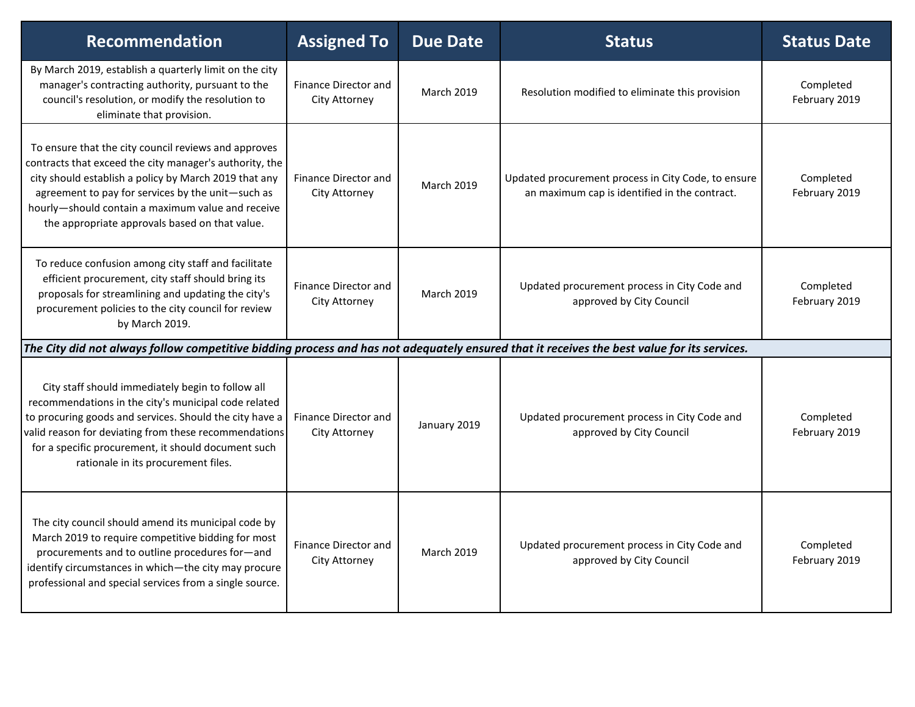| <b>Recommendation</b>                                                                                                                                                                                                                                                                                                                | <b>Assigned To</b>                                  | <b>Due Date</b>   | <b>Status</b>                                                                                        | <b>Status Date</b>         |
|--------------------------------------------------------------------------------------------------------------------------------------------------------------------------------------------------------------------------------------------------------------------------------------------------------------------------------------|-----------------------------------------------------|-------------------|------------------------------------------------------------------------------------------------------|----------------------------|
| By March 2019, establish a quarterly limit on the city<br>manager's contracting authority, pursuant to the<br>council's resolution, or modify the resolution to<br>eliminate that provision.                                                                                                                                         | Finance Director and<br><b>City Attorney</b>        | <b>March 2019</b> | Resolution modified to eliminate this provision                                                      | Completed<br>February 2019 |
| To ensure that the city council reviews and approves<br>contracts that exceed the city manager's authority, the<br>city should establish a policy by March 2019 that any<br>agreement to pay for services by the unit-such as<br>hourly-should contain a maximum value and receive<br>the appropriate approvals based on that value. | Finance Director and<br><b>City Attorney</b>        | <b>March 2019</b> | Updated procurement process in City Code, to ensure<br>an maximum cap is identified in the contract. | Completed<br>February 2019 |
| To reduce confusion among city staff and facilitate<br>efficient procurement, city staff should bring its<br>proposals for streamlining and updating the city's<br>procurement policies to the city council for review<br>by March 2019.                                                                                             | <b>Finance Director and</b><br><b>City Attorney</b> | March 2019        | Updated procurement process in City Code and<br>approved by City Council                             | Completed<br>February 2019 |
| The City did not always follow competitive bidding process and has not adequately ensured that it receives the best value for its services.                                                                                                                                                                                          |                                                     |                   |                                                                                                      |                            |
| City staff should immediately begin to follow all<br>recommendations in the city's municipal code related<br>to procuring goods and services. Should the city have a<br>valid reason for deviating from these recommendations<br>for a specific procurement, it should document such<br>rationale in its procurement files.          | Finance Director and<br>City Attorney               | January 2019      | Updated procurement process in City Code and<br>approved by City Council                             | Completed<br>February 2019 |
| The city council should amend its municipal code by<br>March 2019 to require competitive bidding for most<br>procurements and to outline procedures for-and<br>identify circumstances in which-the city may procure<br>professional and special services from a single source.                                                       | Finance Director and<br>City Attorney               | <b>March 2019</b> | Updated procurement process in City Code and<br>approved by City Council                             | Completed<br>February 2019 |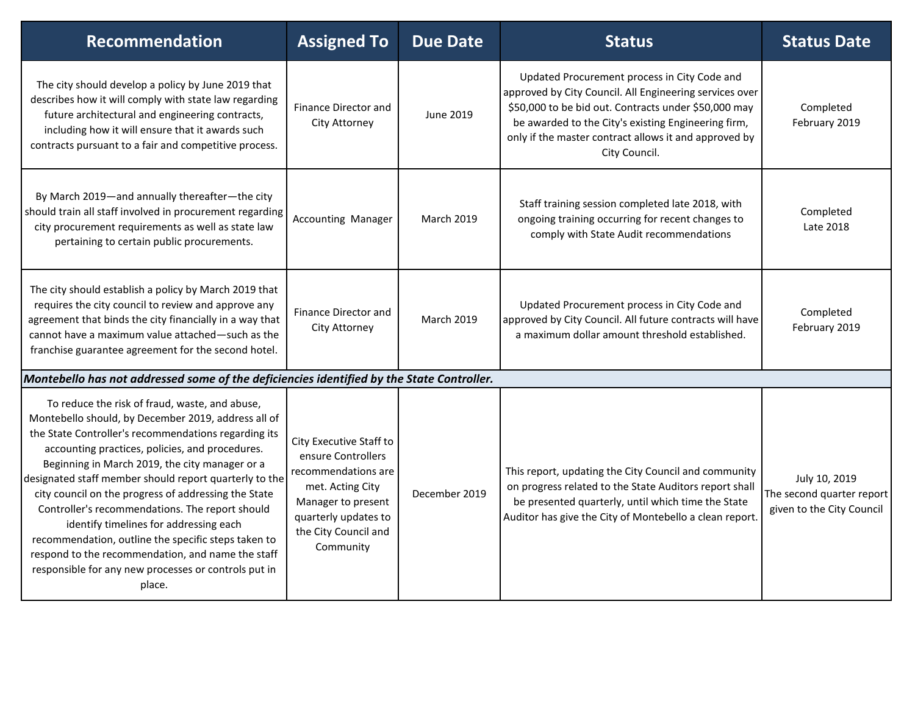| <b>Recommendation</b>                                                                                                                                                                                                                                                                                                                                                                                                                                                                                                                                                                                                                                           | <b>Assigned To</b>                                                                                                                                                          | <b>Due Date</b>   | <b>Status</b>                                                                                                                                                                                                                                                                                    | <b>Status Date</b>                                                      |
|-----------------------------------------------------------------------------------------------------------------------------------------------------------------------------------------------------------------------------------------------------------------------------------------------------------------------------------------------------------------------------------------------------------------------------------------------------------------------------------------------------------------------------------------------------------------------------------------------------------------------------------------------------------------|-----------------------------------------------------------------------------------------------------------------------------------------------------------------------------|-------------------|--------------------------------------------------------------------------------------------------------------------------------------------------------------------------------------------------------------------------------------------------------------------------------------------------|-------------------------------------------------------------------------|
| The city should develop a policy by June 2019 that<br>describes how it will comply with state law regarding<br>future architectural and engineering contracts,<br>including how it will ensure that it awards such<br>contracts pursuant to a fair and competitive process.                                                                                                                                                                                                                                                                                                                                                                                     | Finance Director and<br>City Attorney                                                                                                                                       | June 2019         | Updated Procurement process in City Code and<br>approved by City Council. All Engineering services over<br>\$50,000 to be bid out. Contracts under \$50,000 may<br>be awarded to the City's existing Engineering firm,<br>only if the master contract allows it and approved by<br>City Council. | Completed<br>February 2019                                              |
| By March 2019-and annually thereafter-the city<br>should train all staff involved in procurement regarding<br>city procurement requirements as well as state law<br>pertaining to certain public procurements.                                                                                                                                                                                                                                                                                                                                                                                                                                                  | <b>Accounting Manager</b>                                                                                                                                                   | <b>March 2019</b> | Staff training session completed late 2018, with<br>ongoing training occurring for recent changes to<br>comply with State Audit recommendations                                                                                                                                                  | Completed<br>Late 2018                                                  |
| The city should establish a policy by March 2019 that<br>requires the city council to review and approve any<br>agreement that binds the city financially in a way that<br>cannot have a maximum value attached—such as the<br>franchise guarantee agreement for the second hotel.                                                                                                                                                                                                                                                                                                                                                                              | Finance Director and<br>City Attorney                                                                                                                                       | <b>March 2019</b> | Updated Procurement process in City Code and<br>approved by City Council. All future contracts will have<br>a maximum dollar amount threshold established.                                                                                                                                       | Completed<br>February 2019                                              |
| Montebello has not addressed some of the deficiencies identified by the State Controller.                                                                                                                                                                                                                                                                                                                                                                                                                                                                                                                                                                       |                                                                                                                                                                             |                   |                                                                                                                                                                                                                                                                                                  |                                                                         |
| To reduce the risk of fraud, waste, and abuse,<br>Montebello should, by December 2019, address all of<br>the State Controller's recommendations regarding its<br>accounting practices, policies, and procedures.<br>Beginning in March 2019, the city manager or a<br>designated staff member should report quarterly to the<br>city council on the progress of addressing the State<br>Controller's recommendations. The report should<br>identify timelines for addressing each<br>recommendation, outline the specific steps taken to<br>respond to the recommendation, and name the staff<br>responsible for any new processes or controls put in<br>place. | City Executive Staff to<br>ensure Controllers<br>recommendations are<br>met. Acting City<br>Manager to present<br>quarterly updates to<br>the City Council and<br>Community | December 2019     | This report, updating the City Council and community<br>on progress related to the State Auditors report shall<br>be presented quarterly, until which time the State<br>Auditor has give the City of Montebello a clean report                                                                   | July 10, 2019<br>The second quarter report<br>given to the City Council |